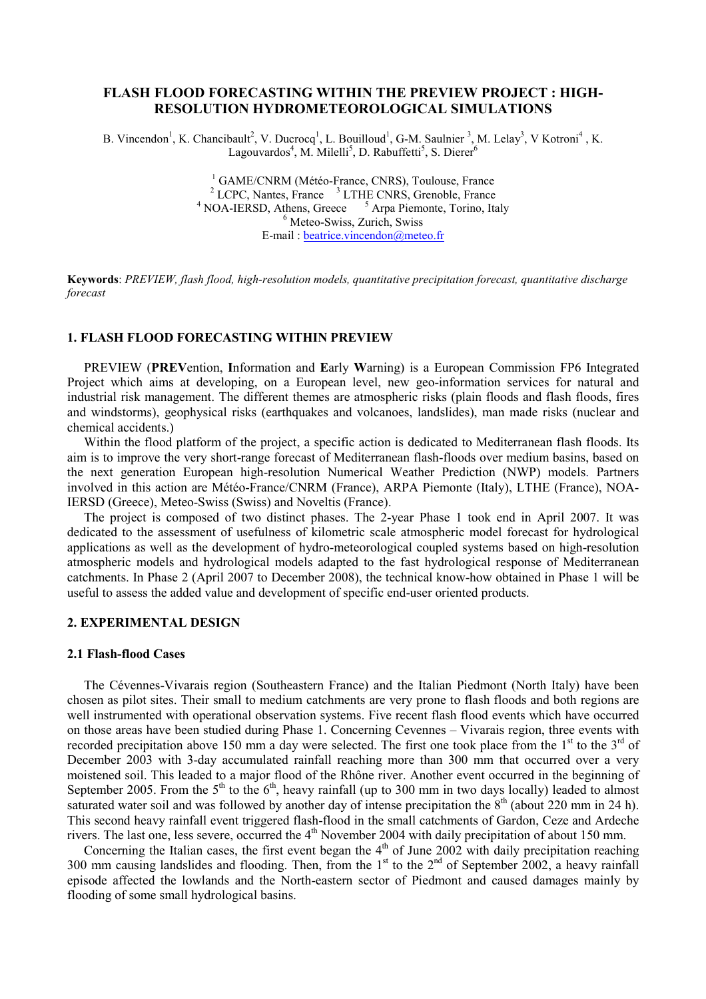# FLASH FLOOD FORECASTING WITHIN THE PREVIEW PROJECT : HIGH-RESOLUTION HYDROMETEOROLOGICAL SIMULATIONS

B. Vincendon<sup>1</sup>, K. Chancibault<sup>2</sup>, V. Ducrocq<sup>1</sup>, L. Bouilloud<sup>1</sup>, G-M. Saulnier<sup>3</sup>, M. Lelay<sup>3</sup>, V Kotroni<sup>4</sup>, K. Lagouvardos<sup>4</sup>, M. Milelli<sup>5</sup>, D. Rabuffetti<sup>5</sup>, S. Dierer<sup>6</sup>

> <sup>1</sup> GAME/CNRM (Météo-France, CNRS), Toulouse, France <sup>2</sup> LCPC, Nantes, France <sup>3</sup> LTHE CNRS, Grenoble, France  $4$  NOA-IERSD, Athens, Greece  $5$ <sup>5</sup> Arpa Piemonte, Torino, Italy 6 Meteo-Swiss, Zurich, Swiss E-mail : beatrice.vincendon@meteo.fr

Keywords: PREVIEW, flash flood, high-resolution models, quantitative precipitation forecast, quantitative discharge forecast

# 1. FLASH FLOOD FORECASTING WITHIN PREVIEW

PREVIEW (PREVention, Information and Early Warning) is a European Commission FP6 Integrated Project which aims at developing, on a European level, new geo-information services for natural and industrial risk management. The different themes are atmospheric risks (plain floods and flash floods, fires and windstorms), geophysical risks (earthquakes and volcanoes, landslides), man made risks (nuclear and chemical accidents.)

Within the flood platform of the project, a specific action is dedicated to Mediterranean flash floods. Its aim is to improve the very short-range forecast of Mediterranean flash-floods over medium basins, based on the next generation European high-resolution Numerical Weather Prediction (NWP) models. Partners involved in this action are Météo-France/CNRM (France), ARPA Piemonte (Italy), LTHE (France), NOA-IERSD (Greece), Meteo-Swiss (Swiss) and Noveltis (France).

The project is composed of two distinct phases. The 2-year Phase 1 took end in April 2007. It was dedicated to the assessment of usefulness of kilometric scale atmospheric model forecast for hydrological applications as well as the development of hydro-meteorological coupled systems based on high-resolution atmospheric models and hydrological models adapted to the fast hydrological response of Mediterranean catchments. In Phase 2 (April 2007 to December 2008), the technical know-how obtained in Phase 1 will be useful to assess the added value and development of specific end-user oriented products.

### 2. EXPERIMENTAL DESIGN

#### 2.1 Flash-flood Cases

The Cévennes-Vivarais region (Southeastern France) and the Italian Piedmont (North Italy) have been chosen as pilot sites. Their small to medium catchments are very prone to flash floods and both regions are well instrumented with operational observation systems. Five recent flash flood events which have occurred on those areas have been studied during Phase 1. Concerning Cevennes – Vivarais region, three events with recorded precipitation above 150 mm a day were selected. The first one took place from the  $1<sup>st</sup>$  to the  $3<sup>rd</sup>$  of December 2003 with 3-day accumulated rainfall reaching more than 300 mm that occurred over a very moistened soil. This leaded to a major flood of the Rhône river. Another event occurred in the beginning of September 2005. From the  $5<sup>th</sup>$  to the  $6<sup>th</sup>$ , heavy rainfall (up to 300 mm in two days locally) leaded to almost saturated water soil and was followed by another day of intense precipitation the  $8<sup>th</sup>$  (about 220 mm in 24 h). This second heavy rainfall event triggered flash-flood in the small catchments of Gardon, Ceze and Ardeche rivers. The last one, less severe, occurred the 4<sup>th</sup> November 2004 with daily precipitation of about 150 mm.

Concerning the Italian cases, the first event began the  $4<sup>th</sup>$  of June 2002 with daily precipitation reaching 300 mm causing landslides and flooding. Then, from the  $1<sup>st</sup>$  to the  $2<sup>nd</sup>$  of September 2002, a heavy rainfall episode affected the lowlands and the North-eastern sector of Piedmont and caused damages mainly by flooding of some small hydrological basins.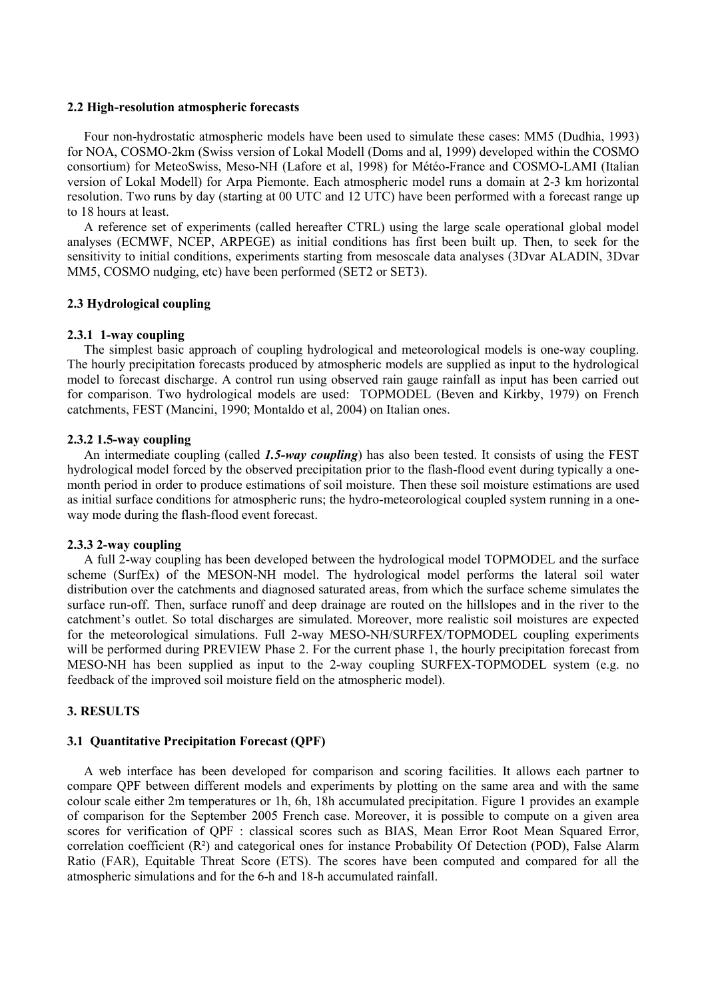### 2.2 High-resolution atmospheric forecasts

Four non-hydrostatic atmospheric models have been used to simulate these cases: MM5 (Dudhia, 1993) for NOA, COSMO-2km (Swiss version of Lokal Modell (Doms and al, 1999) developed within the COSMO consortium) for MeteoSwiss, Meso-NH (Lafore et al, 1998) for Météo-France and COSMO-LAMI (Italian version of Lokal Modell) for Arpa Piemonte. Each atmospheric model runs a domain at 2-3 km horizontal resolution. Two runs by day (starting at 00 UTC and 12 UTC) have been performed with a forecast range up to 18 hours at least.

A reference set of experiments (called hereafter CTRL) using the large scale operational global model analyses (ECMWF, NCEP, ARPEGE) as initial conditions has first been built up. Then, to seek for the sensitivity to initial conditions, experiments starting from mesoscale data analyses (3Dvar ALADIN, 3Dvar MM5, COSMO nudging, etc) have been performed (SET2 or SET3).

## 2.3 Hydrological coupling

## 2.3.1 1-way coupling

The simplest basic approach of coupling hydrological and meteorological models is one-way coupling. The hourly precipitation forecasts produced by atmospheric models are supplied as input to the hydrological model to forecast discharge. A control run using observed rain gauge rainfall as input has been carried out for comparison. Two hydrological models are used: TOPMODEL (Beven and Kirkby, 1979) on French catchments, FEST (Mancini, 1990; Montaldo et al, 2004) on Italian ones.

# 2.3.2 1.5-way coupling

An intermediate coupling (called 1.5-way coupling) has also been tested. It consists of using the FEST hydrological model forced by the observed precipitation prior to the flash-flood event during typically a onemonth period in order to produce estimations of soil moisture. Then these soil moisture estimations are used as initial surface conditions for atmospheric runs; the hydro-meteorological coupled system running in a oneway mode during the flash-flood event forecast.

## 2.3.3 2-way coupling

A full 2-way coupling has been developed between the hydrological model TOPMODEL and the surface scheme (SurfEx) of the MESON-NH model. The hydrological model performs the lateral soil water distribution over the catchments and diagnosed saturated areas, from which the surface scheme simulates the surface run-off. Then, surface runoff and deep drainage are routed on the hillslopes and in the river to the catchment's outlet. So total discharges are simulated. Moreover, more realistic soil moistures are expected for the meteorological simulations. Full 2-way MESO-NH/SURFEX/TOPMODEL coupling experiments will be performed during PREVIEW Phase 2. For the current phase 1, the hourly precipitation forecast from MESO-NH has been supplied as input to the 2-way coupling SURFEX-TOPMODEL system (e.g. no feedback of the improved soil moisture field on the atmospheric model).

# 3. RESULTS

## 3.1 Quantitative Precipitation Forecast (QPF)

A web interface has been developed for comparison and scoring facilities. It allows each partner to compare QPF between different models and experiments by plotting on the same area and with the same colour scale either 2m temperatures or 1h, 6h, 18h accumulated precipitation. Figure 1 provides an example of comparison for the September 2005 French case. Moreover, it is possible to compute on a given area scores for verification of QPF : classical scores such as BIAS, Mean Error Root Mean Squared Error, correlation coefficient (R²) and categorical ones for instance Probability Of Detection (POD), False Alarm Ratio (FAR), Equitable Threat Score (ETS). The scores have been computed and compared for all the atmospheric simulations and for the 6-h and 18-h accumulated rainfall.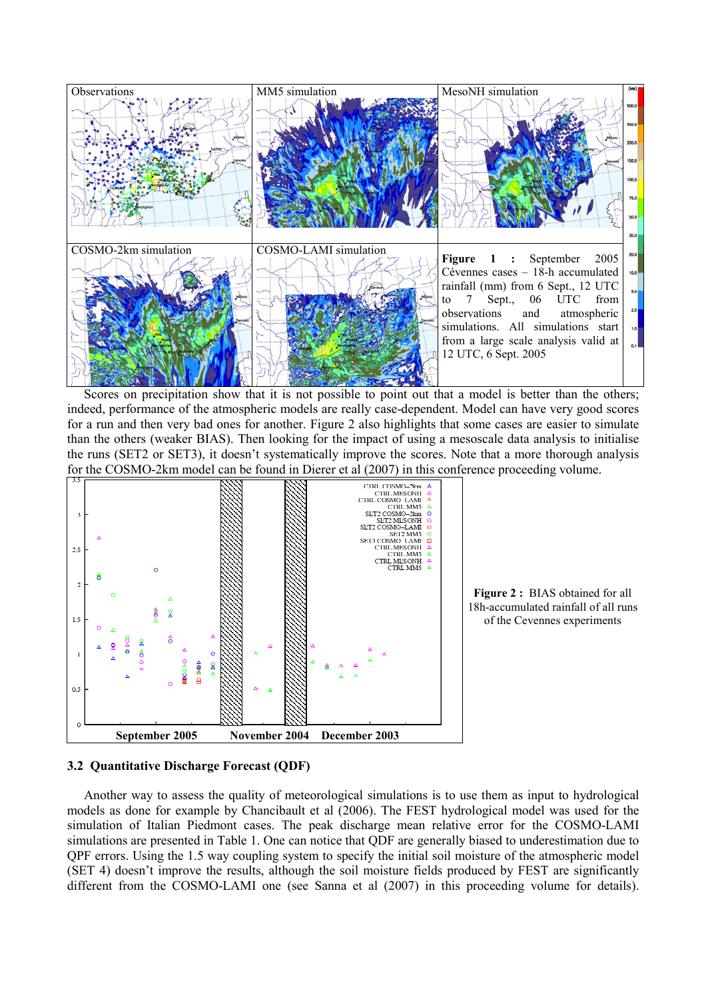

Scores on precipitation show that it is not possible to point out that a model is better than the others; indeed, performance of the atmospheric models are really case-dependent. Model can have very good scores for a run and then very bad ones for another. Figure 2 also highlights that some cases are easier to simulate than the others (weaker BIAS). Then looking for the impact of using a mesoscale data analysis to initialise the runs (SET2 or SET3), it doesn't systematically improve the scores. Note that a more thorough analysis for the COSMO-2km model can be found in Dierer et al (2007) in this conference proceeding volume.



Figure 2 : BIAS obtained for all 18h-accumulated rainfall of all runs of the Cevennes experiments

# 3.2 Quantitative Discharge Forecast (QDF)

Another way to assess the quality of meteorological simulations is to use them as input to hydrological models as done for example by Chancibault et al (2006). The FEST hydrological model was used for the simulation of Italian Piedmont cases. The peak discharge mean relative error for the COSMO-LAMI simulations are presented in Table 1. One can notice that QDF are generally biased to underestimation due to QPF errors. Using the 1.5 way coupling system to specify the initial soil moisture of the atmospheric model (SET 4) doesn't improve the results, although the soil moisture fields produced by FEST are significantly different from the COSMO-LAMI one (see Sanna et al (2007) in this proceeding volume for details).